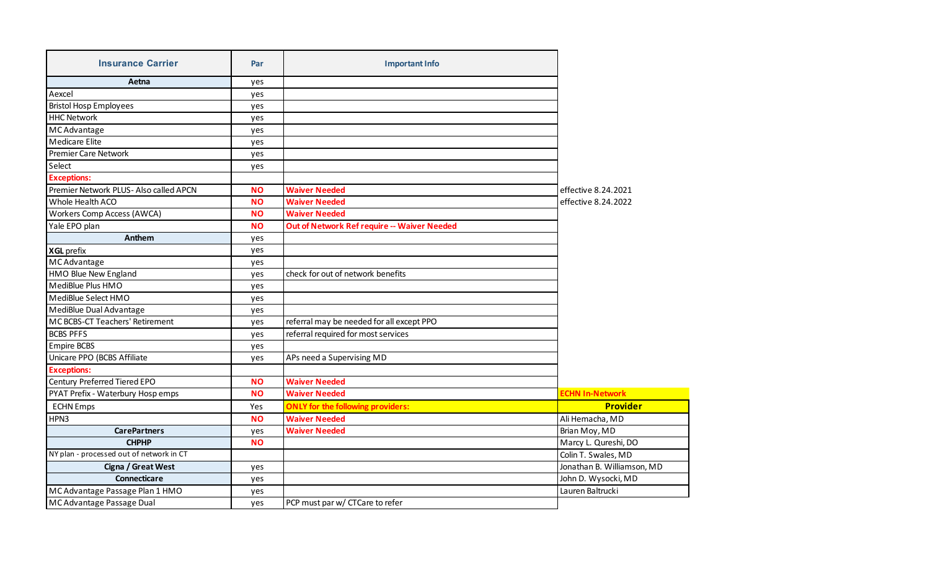| <b>Insurance Carrier</b>                 | Par       | <b>Important Info</b>                       |                            |
|------------------------------------------|-----------|---------------------------------------------|----------------------------|
| Aetna                                    | yes       |                                             |                            |
| Aexcel                                   | yes       |                                             |                            |
| <b>Bristol Hosp Employees</b>            | yes       |                                             |                            |
| <b>HHC Network</b>                       | yes       |                                             |                            |
| MC Advantage                             | yes       |                                             |                            |
| <b>Medicare Elite</b>                    | yes       |                                             |                            |
| <b>Premier Care Network</b>              | yes       |                                             |                            |
| Select                                   | yes       |                                             |                            |
| <b>Exceptions:</b>                       |           |                                             |                            |
| Premier Network PLUS- Also called APCN   | <b>NO</b> | <b>Waiver Needed</b>                        | effective 8.24.2021        |
| Whole Health ACO                         | <b>NO</b> | <b>Waiver Needed</b>                        | effective 8.24.2022        |
| <b>Workers Comp Access (AWCA)</b>        | <b>NO</b> | <b>Waiver Needed</b>                        |                            |
| Yale EPO plan                            | <b>NO</b> | Out of Network Ref require -- Waiver Needed |                            |
| Anthem                                   | yes       |                                             |                            |
| <b>XGL</b> prefix                        | yes       |                                             |                            |
| MC Advantage                             | yes       |                                             |                            |
| HMO Blue New England                     | yes       | check for out of network benefits           |                            |
| MediBlue Plus HMO                        | yes       |                                             |                            |
| MediBlue Select HMO                      | yes       |                                             |                            |
| MediBlue Dual Advantage                  | yes       |                                             |                            |
| MC BCBS-CT Teachers' Retirement          | yes       | referral may be needed for all except PPO   |                            |
| <b>BCBS PFFS</b>                         | yes       | referral required for most services         |                            |
| <b>Empire BCBS</b>                       | yes       |                                             |                            |
| Unicare PPO (BCBS Affiliate              | yes       | APs need a Supervising MD                   |                            |
| <b>Exceptions:</b>                       |           |                                             |                            |
| Century Preferred Tiered EPO             | <b>NO</b> | <b>Waiver Needed</b>                        |                            |
| PYAT Prefix - Waterbury Hosp emps        | <b>NO</b> | <b>Waiver Needed</b>                        | <b>ECHN In-Network</b>     |
| <b>ECHN Emps</b>                         | Yes       | <b>ONLY for the following providers:</b>    | <b>Provider</b>            |
| HPN3                                     | <b>NO</b> | <b>Waiver Needed</b>                        | Ali Hemacha, MD            |
| <b>CarePartners</b>                      | yes       | <b>Waiver Needed</b>                        | Brian Moy, MD              |
| <b>CHPHP</b>                             | <b>NO</b> |                                             | Marcy L. Qureshi, DO       |
| NY plan - processed out of network in CT |           |                                             | Colin T. Swales, MD        |
| Cigna / Great West                       | yes       |                                             | Jonathan B. Williamson, MD |
| <b>Connecticare</b>                      | yes       |                                             | John D. Wysocki, MD        |
| MC Advantage Passage Plan 1 HMO          | yes       |                                             | Lauren Baltrucki           |
| MC Advantage Passage Dual                | yes       | PCP must par w/ CTCare to refer             |                            |